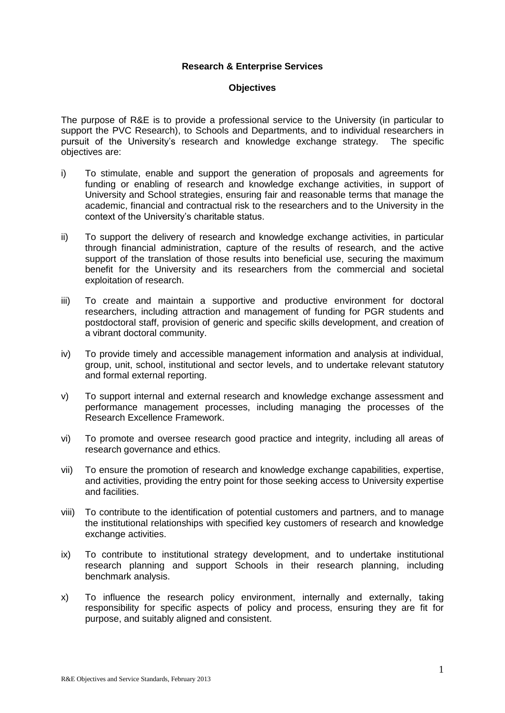## **Research & Enterprise Services**

## **Objectives**

The purpose of R&E is to provide a professional service to the University (in particular to support the PVC Research), to Schools and Departments, and to individual researchers in pursuit of the University's research and knowledge exchange strategy. The specific objectives are:

- i) To stimulate, enable and support the generation of proposals and agreements for funding or enabling of research and knowledge exchange activities, in support of University and School strategies, ensuring fair and reasonable terms that manage the academic, financial and contractual risk to the researchers and to the University in the context of the University's charitable status.
- ii) To support the delivery of research and knowledge exchange activities, in particular through financial administration, capture of the results of research, and the active support of the translation of those results into beneficial use, securing the maximum benefit for the University and its researchers from the commercial and societal exploitation of research.
- iii) To create and maintain a supportive and productive environment for doctoral researchers, including attraction and management of funding for PGR students and postdoctoral staff, provision of generic and specific skills development, and creation of a vibrant doctoral community.
- iv) To provide timely and accessible management information and analysis at individual, group, unit, school, institutional and sector levels, and to undertake relevant statutory and formal external reporting.
- v) To support internal and external research and knowledge exchange assessment and performance management processes, including managing the processes of the Research Excellence Framework.
- vi) To promote and oversee research good practice and integrity, including all areas of research governance and ethics.
- vii) To ensure the promotion of research and knowledge exchange capabilities, expertise, and activities, providing the entry point for those seeking access to University expertise and facilities.
- viii) To contribute to the identification of potential customers and partners, and to manage the institutional relationships with specified key customers of research and knowledge exchange activities.
- ix) To contribute to institutional strategy development, and to undertake institutional research planning and support Schools in their research planning, including benchmark analysis.
- x) To influence the research policy environment, internally and externally, taking responsibility for specific aspects of policy and process, ensuring they are fit for purpose, and suitably aligned and consistent.